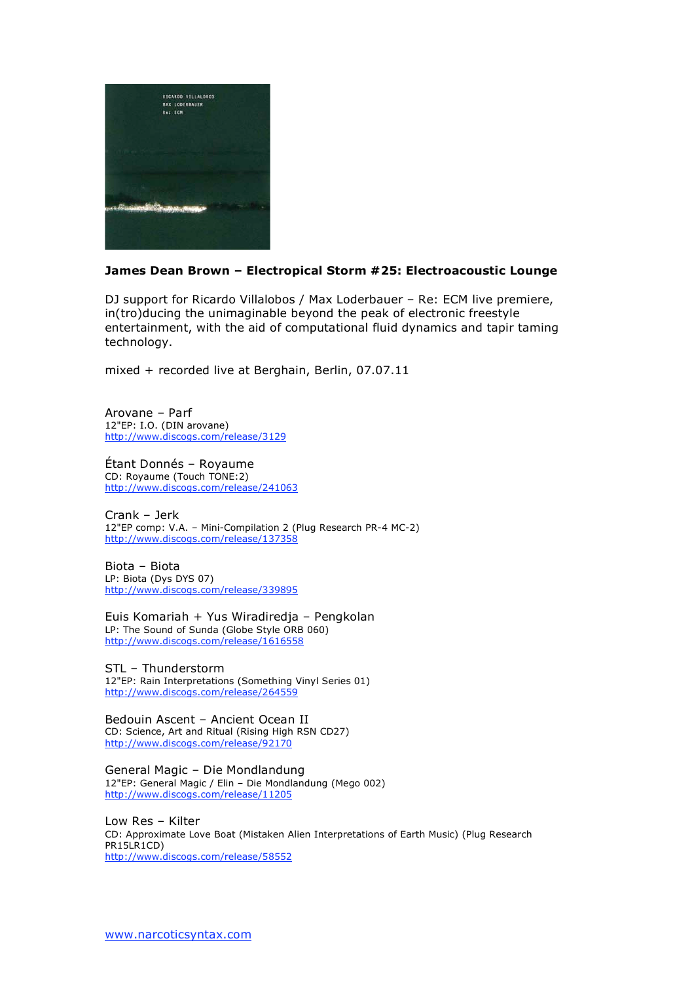

## **James Dean Brown – Electropical Storm #25: Electroacoustic Lounge**

DJ support for Ricardo Villalobos / Max Loderbauer – Re: ECM live premiere, in(tro)ducing the unimaginable beyond the peak of electronic freestyle entertainment, with the aid of computational fluid dynamics and tapir taming technology.

mixed + recorded live at Berghain, Berlin, 07.07.11

Arovane – Parf 12"EP: I.O. (DIN arovane) http://www.discogs.com/release/3129

Étant Donnés – Royaume CD: Royaume (Touch TONE:2) http://www.discogs.com/release/241063

Crank – Jerk 12"EP comp: V.A. – Mini-Compilation 2 (Plug Research PR-4 MC-2) http://www.discogs.com/release/137358

Biota – Biota LP: Biota (Dys DYS 07) http://www.discogs.com/release/339895

Euis Komariah + Yus Wiradiredja – Pengkolan LP: The Sound of Sunda (Globe Style ORB 060) http://www.discogs.com/release/1616558

STL – Thunderstorm 12"EP: Rain Interpretations (Something Vinyl Series 01) http://www.discogs.com/release/264559

Bedouin Ascent – Ancient Ocean II CD: Science, Art and Ritual (Rising High RSN CD27) http://www.discogs.com/release/92170

General Magic – Die Mondlandung 12"EP: General Magic / Elin – Die Mondlandung (Mego 002) http://www.discogs.com/release/11205

Low Res – Kilter CD: Approximate Love Boat (Mistaken Alien Interpretations of Earth Music) (Plug Research PR15LR1CD) http://www.discogs.com/release/58552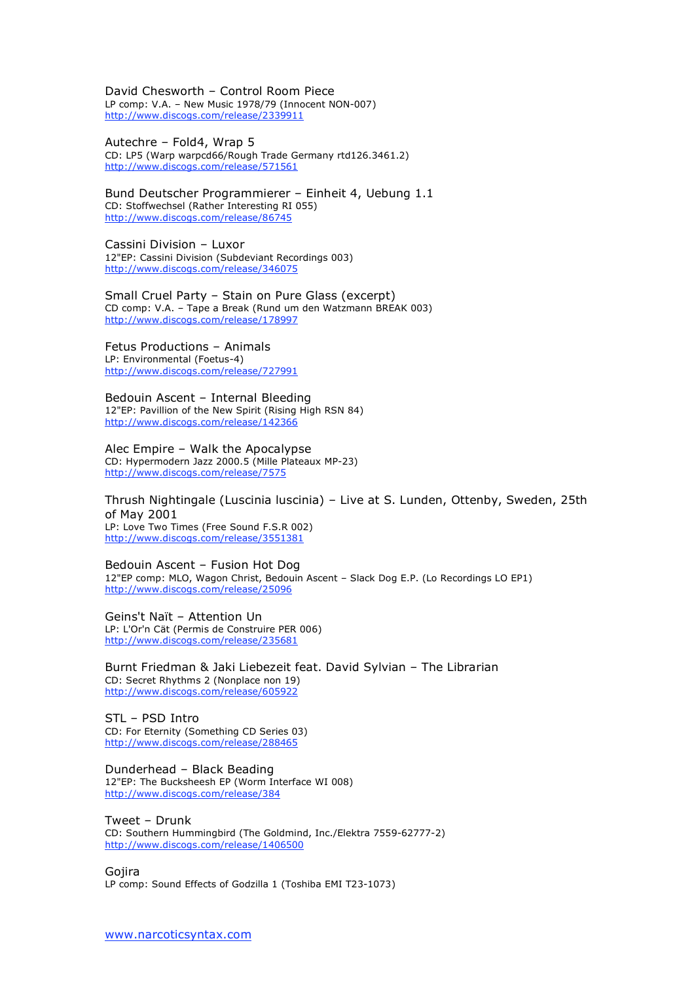David Chesworth – Control Room Piece LP comp: V.A. – New Music 1978/79 (Innocent NON-007) http://www.discogs.com/release/2339911

Autechre – Fold4, Wrap 5 CD: LP5 (Warp warpcd66/Rough Trade Germany rtd126.3461.2) http://www.discogs.com/release/571561

Bund Deutscher Programmierer – Einheit 4, Uebung 1.1 CD: Stoffwechsel (Rather Interesting RI 055) http://www.discogs.com/release/86745

Cassini Division – Luxor 12"EP: Cassini Division (Subdeviant Recordings 003) http://www.discogs.com/release/346075

Small Cruel Party – Stain on Pure Glass (excerpt) CD comp: V.A. – Tape a Break (Rund um den Watzmann BREAK 003) http://www.discogs.com/release/178997

Fetus Productions – Animals LP: Environmental (Foetus-4)

http://www.discogs.com/release/727991

Bedouin Ascent – Internal Bleeding

12"EP: Pavillion of the New Spirit (Rising High RSN 84) http://www.discogs.com/release/142366

Alec Empire – Walk the Apocalypse CD: Hypermodern Jazz 2000.5 (Mille Plateaux MP-23) http://www.discogs.com/release/7575

Thrush Nightingale (Luscinia luscinia) – Live at S. Lunden, Ottenby, Sweden, 25th of May 2001 LP: Love Two Times (Free Sound F.S.R 002) http://www.discogs.com/release/3551381

Bedouin Ascent – Fusion Hot Dog 12"EP comp: MLO, Wagon Christ, Bedouin Ascent – Slack Dog E.P. (Lo Recordings LO EP1) http://www.discogs.com/release/25096

Geins't Naït – Attention Un LP: L'Or'n Cät (Permis de Construire PER 006) http://www.discogs.com/release/235681

Burnt Friedman & Jaki Liebezeit feat. David Sylvian – The Librarian CD: Secret Rhythms 2 (Nonplace non 19) http://www.discogs.com/release/605922

STL – PSD Intro CD: For Eternity (Something CD Series 03) http://www.discogs.com/release/288465

Dunderhead – Black Beading 12"EP: The Bucksheesh EP (Worm Interface WI 008) http://www.discogs.com/release/384

Tweet – Drunk CD: Southern Hummingbird (The Goldmind, Inc./Elektra 7559-62777-2) http://www.discogs.com/release/1406500

Gojira LP comp: Sound Effects of Godzilla 1 (Toshiba EMI T23-1073)